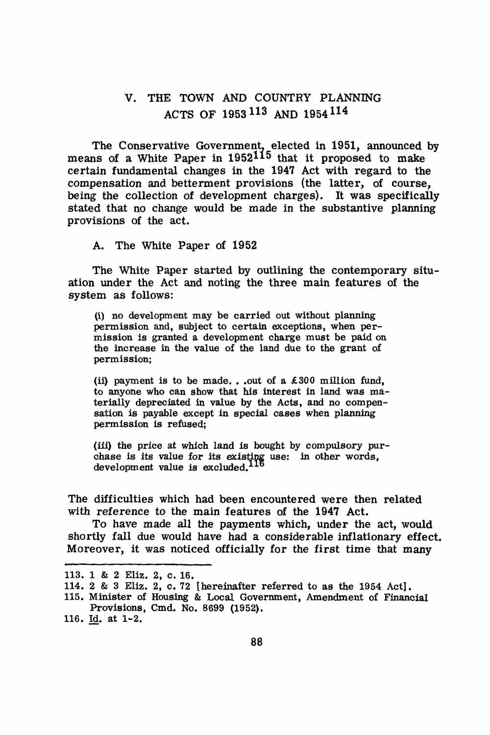# V. THE TOWN AND COUNTRY PLANNING ACTS OF 1953 113 AND 1954114

The Conservative Government, elected in 1951, announced by means of a White Paper in 1952115 that it proposed to make certain fundamental changes in the 1947 Act with regard to the compensation and betterment provisions (the latter, of course, being the collection of development charges). It was specifically stated that no change would be made in the substantive planning provisions of the act.

A. The White Paper of 1952

The White Paper started by outlining the contemporary situation under the Act and noting the three main features of the system as follows:

(i) no development may be carried out without planning permission and, subject to certam exceptions, when permission is granted a development charge must be paid on the increase in the value of the land due to the grant of permission;

(ii) payment is to be made... out of a  $\pounds 300$  million fund, to anyone who can show that his interest in land was materially depreciated in value by the Acts, and no compensation is payable except in **special cases** when planning permisaion is refused;

(iii) the price at which land is bought by compulsory purchase is its value for its existing use: in other words, development value is excluded.<sup>1</sup>

The difficulties which had been encountered were then related with reference to the main features of the 1947 Act.

To have made all the payments which, under the act, would shortly fall due would have had a considerable inflationary effect. Moreover, it was noticed officially for the first time that many

<sup>113. 1 &</sup>amp; 2 Eliz. 2, c. 16.

<sup>114. 2 &</sup>amp; 3 Eliz. 2, c. 72 {hereinafter referred to as the 1954 Act].

<sup>115.</sup> Minister of Housing & Local Government, Amendment of Financial **Provisions,** Cmd. No. 8699 (1952),

<sup>116.</sup> Id. at 1-2.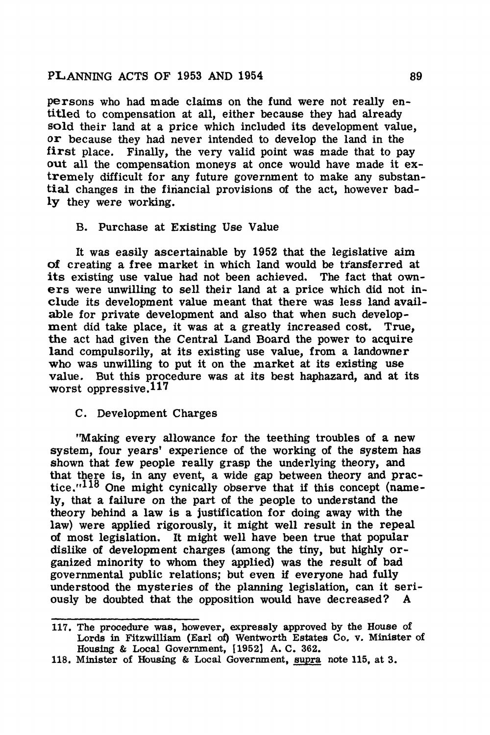persons who had made claims on the fund were not really entitled to compensation at all, either because they had already sold their land at a price which included its development value, or because they had never intended to develop the land in the first place. Finally, the very valid point was made that to pay out all the compensation moneys at once would have made it extremely difficult for any future government to make any substantial changes in the firiancial provisions of the act, however bad**ly** they were working.

#### B. Purchase at Existing Use Value

It was easily ascertainable by 1952 that the legislative aim of creating a free market in which land would be transferred at its existing use value had not been achieved. The fact that owners were unwilling to sell their land at a price which did not include its development value meant that there was less land available for private development and also that when such development did take place, it was at a greatly increased cost. True, the act had given the Central Land Board the power to acquire land compulsorily, at its existing use value, from a landowner who was unwilling to put it on the market at its existing use value. But this procedure was at its best haphazard, and at its worst oppressive.<sup>117</sup>

#### C. Development Charges

''Making every allowance for the teething troubles of a new system, four years' experience of the working of the system has shown that few people really grasp the underlying theory, and that there is, in any event, a wide gap between theory and practice.<sup> $118$ </sup> One might cynically observe that if this concept (namely, that a failure on the part of the people to understand the theory behind a law is a justification for doing away with the law) were applied rigorously, it might well result in the repeal of most legislation. It might well have been true that popular dislike of development charges (among the tiny, but highly organized minority to whom they applied} was the result of bad governmental public relations; but even if everyone had fully understood the mysteries of the planning legislation, can it seriously be doubted that the opposition would have decreased? A

<sup>117.</sup> The procedure was, however, expressly approved by the House of Lords in Fitzwilliam (Earl of) Wentworth Estates Co. v. Minister of Housing & Local Government, [1952] A. C. 362.

<sup>118,</sup> Minister of Housing & Local Government, supra note 115, at 3.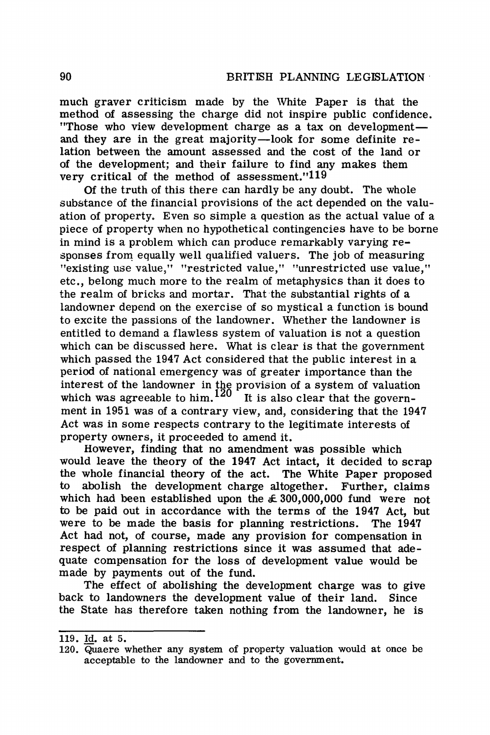much graver criticism made by the White Paper is that the method of assessing the charge did not inspire public confidence. "Those who view development charge as a tax on developmentand they are in the great majority-look for some definite relation between the amount assessed and the cost of the land or of the development; and their failure to find any makes them very critical of the method of assessment."119

Of the truth of this there can hardly be any doubt. The whole substance of the financial provisions of the act depended on the valuation of property. Even so simple a question as the actual value of a piece of property when no hypothetical contingencies have to be borne in mind is a problem which can produce remarkably varying responses from equally well qualified valuers. The job of measuring "existing use value," "restricted value," "unrestricted use value," etc., belong much more to the realm of metaphysics than it does to the realm of bricks and mortar. That the substantial rights of a landowner depend on the exercise of so mystical a function is bound to excite the passions of the landowner. Whether the landowner is entitled to demand a flawless system of valuation is not a question which can be discussed here. What is clear is that the government which passed the 1947 Act considered that the public interest in a period of national emergency was of greater importance than the interest of the landowner in the provision of a system of valuation which was agreeable to him.<sup>120</sup> It is also clear that the government in 1951 was of a contrary view, and, considering that the 1947 Act was in some respects contrary to the legitimate interests of property owners, it proceeded to amend it.

However, finding that no amendment was possible which would leave the theory of the **1947** Act intact, it decided to scrap the whole financial theory of the act. The White Paper proposed to abolish the development charge altogether. Further, claims which had been established upon the  $\leq 300,000,000$  fund were not to be paid out in accordance with the terms of the 1947 Act, but were to be made the basis for planning restrictions. The 1947 Act had not, of course, made any provision for compensation in respect of planning restrictions since it was assumed that adequate compensation for the loss of development value would be made by payments out of the fund.

The effect of abolishing the development charge was to give back to landowners the development value of their land. Since the State has therefore taken nothing from the landowner, he is

<sup>119.</sup> Id. at 5.

<sup>120.</sup> Quaere whether any system of property valuation would at once be acceptable to the landowner and to the government.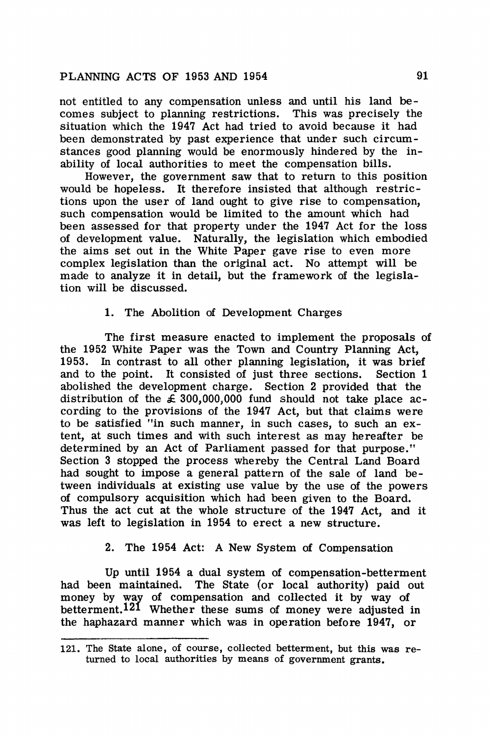not entitled to any compensation unless and until his land becomes subject to planning restrictions. This was precisely the situation which the 1947 Act had tried to avoid because it had been demonstrated by past experience that under such circumstances good planning would be enormously hindered by the inability of local authorities to meet the compensation bills.

However, the government saw that to return to this position would be hopeless. It therefore insisted that although restrictions upon the user of land ought to give rise to compensation, such compensation would be limited to the amount which had been assessed for that property under the 1947 Act for the loss of development value. Naturally, the legislation which embodied the aims set out in the White Paper gave rise to even more complex legislation than the original act. No attempt will be made to analyze it in detail, but the framework of the legislation will be discussed.

### 1. The Abolition of Development Charges

The first measure enacted to implement the proposals of the 1952 White Paper was the Town and Country Planning Act, 1953. In contrast to all other planning legislation, it was brief and to the point. It consisted of just three sections. Section 1 abolished the development charge. Section 2 provided that the distribution of the  $\leq 300,000,000$  fund should not take place according to the provisions of the 1947 Act, but that claims were to be satisfied "in such manner, in such cases, to such an extent, at such times and with such interest as may hereafter be determined by an Act of Parliament passed for that purpose." Section 3 stopped the process whereby the Central Land Board had sought to impose a general pattern of the sale of land between individuals at existing use value by the use of the powers of compulsory acquisition which had been given to the Board. Thus the act cut at the whole structure of the 1947 Act, and it was left to legislation in 1954 to erect a new structure.

### 2. The 1954 Act: A New System of Compensation

Up until 1954 a dual system of compensation-betterment had been maintained. The State (or local authority) paid out money by way of compensation and collected it by way of betterment.<sup>121</sup> Whether these sums of money were adjusted in the haphazard manner which was in operation before 1947, or

<sup>121.</sup> The State alone, of course, collected betterment, but this was returned to local authorities by means of government grants.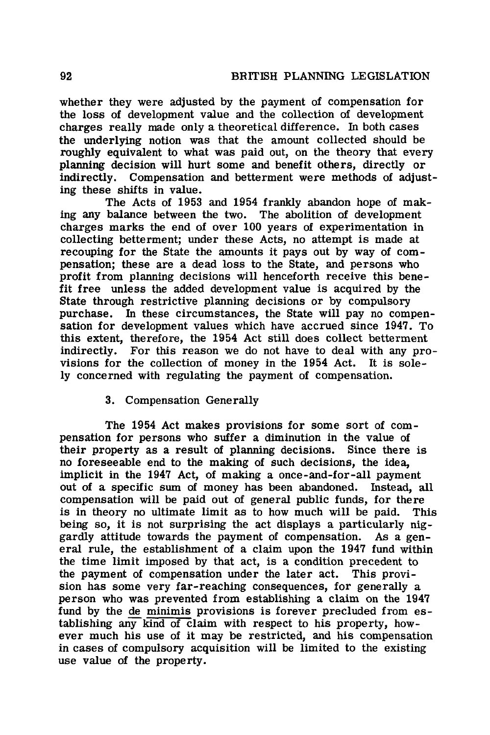whether they were adjusted by the payment of compensation for the loss of development value and the collection of development charges really made only a theoretical difference. In both cases the underlying notion was that the amount collected should be roughly equivalent to what was paid out, on the theory that every planning decision will hurt some and benefit others, directly or indirectly. Compensation and betterment were methods of adjusting these shifts in value.

The Acts of 1953 and 1954 frankly abandon hope of making any balance between the two. The abolition of development charges marks the end of over 100 years of experimentation in collecting betterment; under these Acts, no attempt is made at recouping for the State the amounts it pays out by way of compensation; these are a dead loss to the State, and persons who profit from planning decisions will henceforth receive this benefit free unless the added development value is acquired by the State through restrictive planning decisions or by compulsory purchase. In these circumstances, the State will pay no compensation for development values which have accrued since 1947. To this extent, therefore, the 1954 Act still does collect betterment indirectly. For this reason we do not have to deal with any provisions for the collection of money in the 1954 Act. It is solely concerned with regulating the payment of compensation.

# 3. Compensation Generally

The 1954 Act makes provisions for some sort of compensation for persons who suffer a diminution in the value of their property as a result of planning decisions. Since there is no foreseeable end to the making of such decisions, the idea, implicit in the 1947 Act, of making a once-and-for-all payment out of a specific sum of money has been abandoned. Instead, all compensation will be paid out of general public funds, for there is in theory no ultimate limit as to how much will be paid. This being so, it is not surprising the act displays a particularly niggardly attitude towards the payment of compensation. As a general rule, the establishment of a claim upon the 1947 fund within the time limit imposed by that act, is a condition precedent to the payment of compensation under the later act. This provision has some very far-reaching consequences, for generally a person who was prevented from establishing a claim on the 1947 fund by the de minimis provisions is forever precluded from establishing any kind of claim with respect to his property, however much his use of it may be restricted, and his compensation in cases of compulsory acquisition will be limited to the existing use value of the property.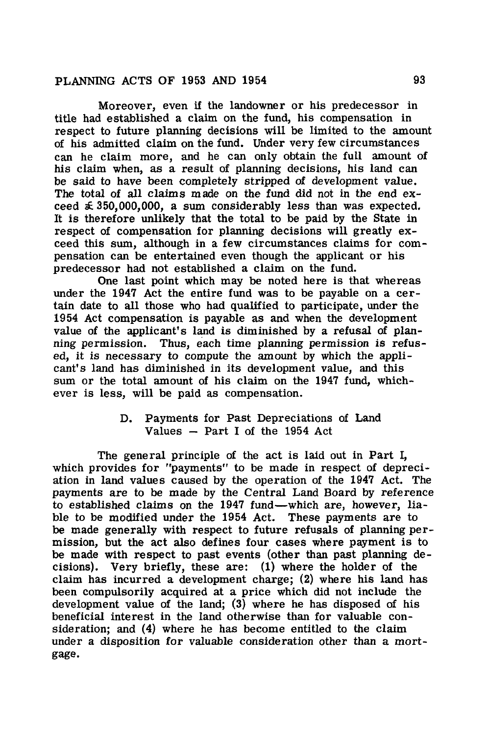Moreover, even if the landowner or his predecessor in title had established a claim on the fund, his compensation in respect to future planning decisions will be limited to the amount of his admitted claim on the fund. Under very few circumstances can he claim more, and he can only obtain the full amount of his claim when, as a result of planning decisions, his land can be said to have been completely stripped of development value. The total of all claims made on the fund did not in the end exceed  $\leq 350,000,000$ , a sum considerably less than was expected. It is therefore unlikely that the total to be paid by the State in respect of compensation for planning decisions will greatly exceed this sum, although in a few circumstances claims for compensation can be entertained even though the applicant or his predecessor had not established a claim on the fund.

One last point which may be noted here is that whereas under the 194'7 Act the entire fund was to be payable on a certain date to all those who had qualified to participate, under the 1954 Act compensation is payable as and when the development value of the applicant's land is diminished by a refusal of planning permission. Thus, each time planning permission is refused, it is necessary to compute the amount by which the applicant's land has diminished in its development value, and this sum or the total amount of his claim on the 1947 fund, whichever is less, will be paid as compensation.

# D. Payments for Past Depreciations of Land Values  $-$  Part I of the 1954 Act

The general principle of the act is laid out in Part I, which provides for "payments" to be made in respect of depreciation in land values caused by the operation of the 1947 Act. The payments are to be made by the Central Land Board by reference to established claims on the 1947 fund-which are, however, liable to be modified under the 1954 Act. These payments are to be made generally with respect to future refusals of planning permission, but the act also defines four cases where payment is to be made with respect to past events (other than past planning decisions). Very briefly, these are: (1) where the holder of the claim has incurred a development charge; (2) where his land has been compulsorily acquired at a price which did not include the development value of the land; (3) where he has disposed of his beneficial interest in the land otherwise than for valuable consideration; and  $(4)$  where he has become entitled to the claim under a disposition for valuable consideration other than a mortgage.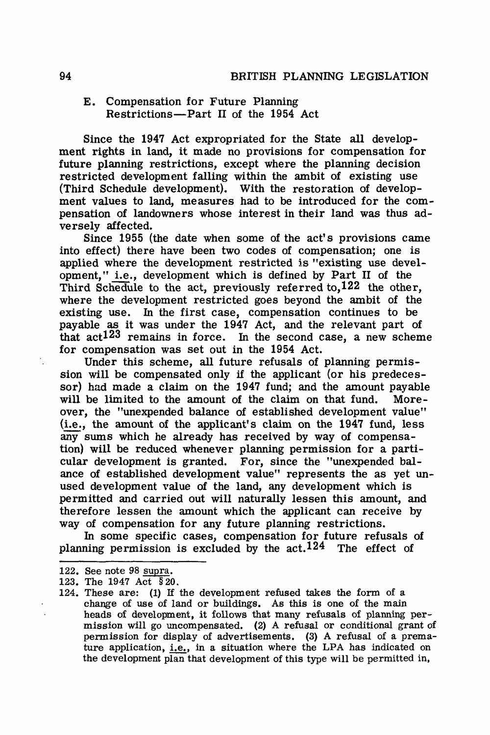### E. Compensation for Future Planning Restrictions-Part II of the 1954 Act

Since the **1947** Act expropriated for the State all development rights in land, it made no provisions for compensation for future planning restrictions, except where the planning decision restricted development falling within the ambit of existing use (Third Schedule development). With the restoration of development values to land, measures had to be introduced for the compensation of landowners whose interest in their land was thus adversely affected.

Since 1955 (the date when some of the act's provisions came into effect) there have been two codes of compensation; one is applied where the development restricted is "existing use development," i.e., development which is defined by Part II of the Third Schedule to the act, previously referred to, 122 the other, where the development restricted goes beyond the ambit of the existing use. In the first case, compensation continues to be payable as it was under the 1947 Act, and the relevant part of that act123 remains in force. In the second case, a new scheme for compensation was set out in the 1954 Act.

Under this scheme, all future refusals of planning permission will be compensated only if the applicant (or his predecessor) had made a claim on the 1947 fund; and the amount payable will be limited to the amount of the claim on that fund. Moreover, the "unexpended balance of established development value" (i.e., the amount of the applicant's claim on the 1947 fund, less any sums which he already has received by way of compensation) will be reduced whenever planning permission for a particular development is granted. For, since the "unexpended balance of established development value" represents the as yet unused development value of the land, any development which is permitted and carried out will naturally lessen this amount, and therefore lessen the amount which the applicant can receive by way of compensation for any future planning restrictions.

In some specific cases, compensation for future refusals of planning permission is excluded by the  $act.124$  The effect of

<sup>122.</sup> See note 98 supra.

<sup>123.</sup> The 1947 Act § 20.

<sup>124.</sup> These are: (1) If the development refused takes the form of a change of use of land or buildings. As this is one of the main heads of development, it follows that many refusals of planning permission will go uncompensated. (2) A refusal or conditional grant of permission for display of advertisements. (3) A refusal of a premature application, i.e., in a situation where the LPA has indicated on the development plan that development of this type will be permitted in,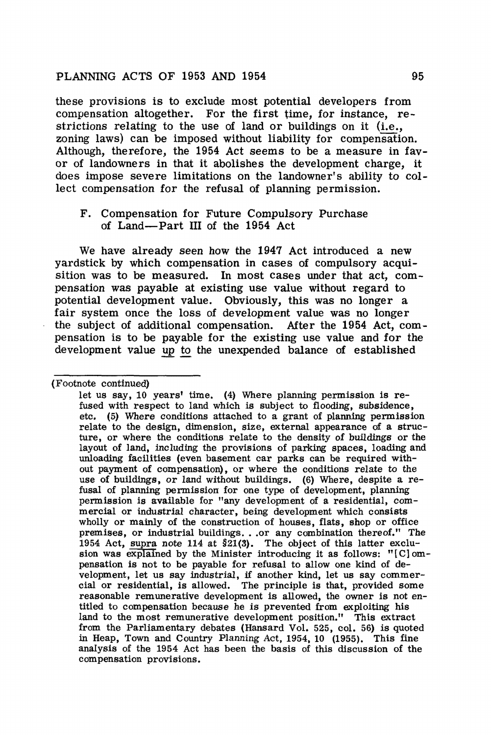these provisions is to exclude most potential developers from compensation altogether. For the first time, for instance, restrictions relating to the use of land or buildings on it (i.e., zoning laws) can be imposed without liability for compensation. Although, therefore, the 1954 Act seems to be a measure in fav**or** of landowners **in that** it abolishes the **development** charge, **it**  does impose severe limitations on the **landowner's** ability to collect compensation **for the** refusal of planning permission.

#### F. Compensation for Future Compulsory Purchase of Land-Part III of the 1954 Act

We have already seen how the 1947 Act introduced a new yardstick by which compensation in cases of compulsory acquisition was to be measured. In most cases under that act, compensation was **payable at** existing use value **without** regard to potential development **value.** Obviously, **this was** no longer a fair system once the loss of development value was no longer **the** subject of **additional** compensation. **After the** 1954 Act, compensation is to **be payable** for the existing **use value** and for the development value up to the unexpended balance of established

<sup>(</sup>Footnote continued)

let us say, 10 years' time. (4) Where planning permission is refused with respect to land which is subject to flooding, subsidence, etc. (5) Where conditions attached to a grant of planning permission relate to the **design,** dimension, size, **external** appearance of a structure, or where **the** conditions relate to **the density of** buildings or the layout of land, **including** the provisions **of parking spaces,** loading and unloading **facilities (even** basement car **parks can be** required without payment **of compensation),** or where **the conditions** relate to the use of buildings, **or land** without buildings. **(6) Where,** despite a refusal of planning permission for one type of development, planning permission is available for "any development of a residential, commercial or industrial character, being development which consists wholly or mainly of the construction of houses, flats, shop or office premises, or industrial buildings ... or any combination thereof." The 1954 Act, supra note 114 at §21(3). The object of this latter exclusion was explained by the Minister introducing it as follows: " [ C] ompensation is not to be payable for refusal to allow one kind of development, let us say industrial, if another kind, let us say commercial or residential, **is** allowed. The principle **is that,** provided some reasonable remunerative development is allowed, the owner is not entitled to compensation because he is prevented from exploiting his land to the **most** remunerative development **position."** This extract from the Parliamentary debates (Hansard Vol. 525, col. 56) is quoted .in Heap, Town and Country Planning Act, 1954, 10 (1955). This fine analysis of the 1954 Act has been the basis of this discussion of the compensation provisions.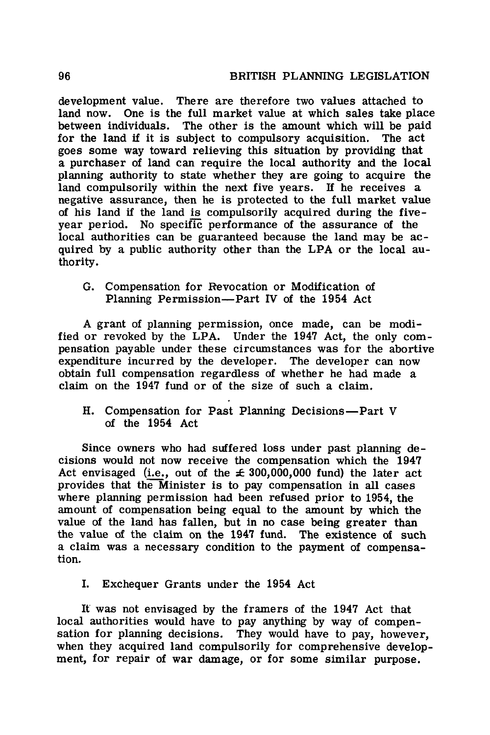development value. There are therefore two values attached to land now. One is the full market value at which sales take place between individuals. The other is the amount which will be paid for the land if it is subject to compulsory acquisition. The act for the land if it is subject to compulsory acquisition. goes some way toward relieving this situation by providing that a purchaser of land can require the local authority and the local planning authority to state whether they are going to acquire the land compulsorily within the next five years. If he receives a negative assurance, then he is protected to the full market value of his land if the land is compulsorily acquired during the fiveyear period. No specific performance of the assurance of the local authorities can be guaranteed because the land may be acquired by a public authority other than the LPA or the local authority.

G. Compensation for Revocation or Modification of Planning Permission-Part IV of the 1954 Act

A grant of planning permission, once made, can be modified or revoked by the LPA. Under the 1947 Act, the only compensation payable under these circumstances was for the abortive expenditure incurred by the developer. The developer can now obtain full compensation regardless of whether he had made a claim on the 1947 fund or of the size of such a claim.

H. Compensation for Past Planning Decisions-Part V of the 1954 Act

Since owners who had suffered loss under past planning decisions would not now receive the compensation which the 1947 Act envisaged (i.e., out of the  $\pm$  300,000,000 fund) the later act provides that the Minister is to pay compensation in all cases where planning permission had been refused prior to 1954, the amount of compensation being equal to the amount by which the value of the land has fallen, but in no case being greater than the value of the claim on the 1947 fund. The existence of such a claim was a necessary condition to the payment of compensation.

I. Exchequer Grants under the 1954 Act

It was not envisaged by the framers of the 1947 Act that local authorities would have to pay anything by way of compensation for planning decisions. They would have to pay, however, when they acquired land compulsorily for comprehensive development, for repair of war damage, or for some similar purpose.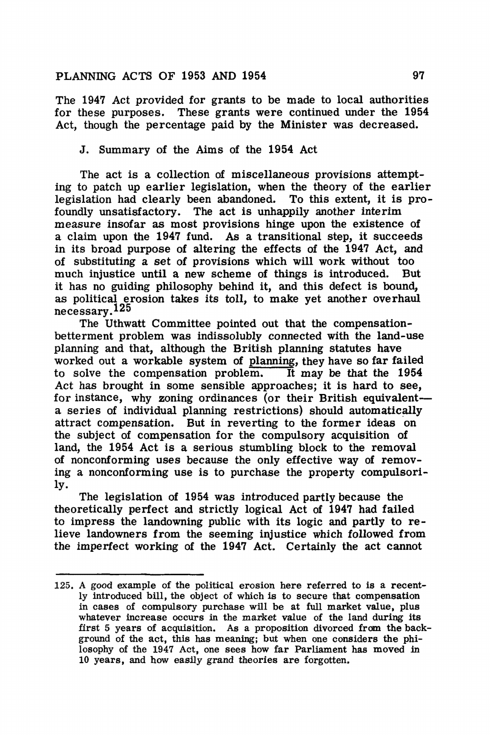The 1947 Act provided for grants to be made to local authorities for these purposes. These grants were continued under the 1954 Act, though the percentage paid by the Minister was decreased.

### J. Summary of the Aims of the **1954** Act

The act is a collection of miscellaneous provisions attempting to patch up earlier legislation, when the theory of the earlier legislation had clearly been abandoned. To this extent, it is profoundly unsatisfactory. The act is unhappily another interim measure insofar as most provisions hinge upon the existence of a claim upon the 1947 fund. As a transitional step, it succeeds in its broad purpose of altering the effects of the 1947 Act, and of substituting a set of provisions which will work without too much injustice until a new scheme of things is introduced. But it has no guiding philosophy behind it, and this defect is bound, as political erosion takes its toll, to make yet another overhaul necessary.125

The Uthwatt Committee pointed out that the compensationbetterment problem was indissolubly connected with the land-use planning and that, although the British planning statutes have worked out a workable system of planning, they have so **far failed**  to solve the compensation problem. Act has brought in some sensible approaches; it is hard to see, for instance, why zoning ordinances (or their British equivalenta series of individual planning restrictions) should automatically attract compensation. But in reverting to the former ideas on the subject of compensation for the compulsory acquisition of land, the 1954 Act is a serious stumbling block to the removal of nonconforming uses because the only effective way of removing a nonconforming use is to purchase the property compulsorily.

The legislation of 1954 was introduced partly because the theoretically perfect and strictly logical Act of 1947 had failed to impress the landowning public with its logic and partly to relieve landowners from the seeming injustice which followed from the imperfect working of the 1947 Act. Certainly the act cannot

<sup>125,</sup> A good example of the political erosion here referred to is a recently introduced bill, the object of which is to secure that compensation in cases of compulsory purchase will be at full market value, plus whatever increase occurs in the market value of the land during its first 5 years of acquisition, As a proposition divorced **frcm the** background of the act, this has meaning; but when one considers the philosophy of the 1947 Act, one sees how far Parliament has moved in 10 years, and how easily grand theories are forgotten.